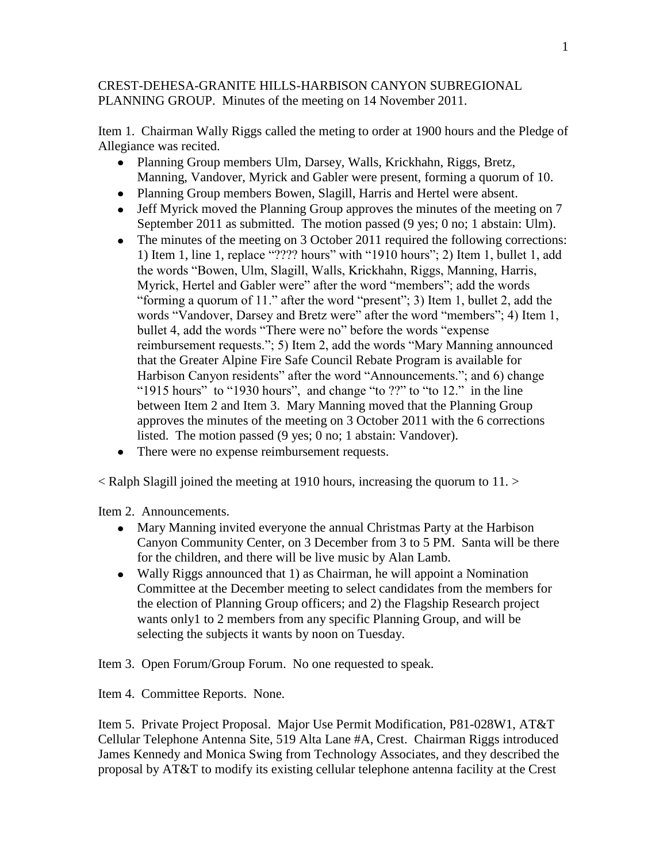## CREST-DEHESA-GRANITE HILLS-HARBISON CANYON SUBREGIONAL PLANNING GROUP. Minutes of the meeting on 14 November 2011.

Item 1. Chairman Wally Riggs called the meting to order at 1900 hours and the Pledge of Allegiance was recited.

- Planning Group members Ulm, Darsey, Walls, Krickhahn, Riggs, Bretz, Manning, Vandover, Myrick and Gabler were present, forming a quorum of 10.
- Planning Group members Bowen, Slagill, Harris and Hertel were absent.
- Jeff Myrick moved the Planning Group approves the minutes of the meeting on 7 September 2011 as submitted. The motion passed (9 yes; 0 no; 1 abstain: Ulm).
- The minutes of the meeting on 3 October 2011 required the following corrections: 1) Item 1, line 1, replace "???? hours" with "1910 hours"; 2) Item 1, bullet 1, add the words "Bowen, Ulm, Slagill, Walls, Krickhahn, Riggs, Manning, Harris, Myrick, Hertel and Gabler were" after the word "members"; add the words "forming a quorum of 11." after the word "present"; 3) Item 1, bullet 2, add the words "Vandover, Darsey and Bretz were" after the word "members"; 4) Item 1, bullet 4, add the words "There were no" before the words "expense reimbursement requests."; 5) Item 2, add the words "Mary Manning announced that the Greater Alpine Fire Safe Council Rebate Program is available for Harbison Canyon residents" after the word "Announcements."; and 6) change "1915 hours" to "1930 hours", and change "to ??" to "to 12." in the line between Item 2 and Item 3. Mary Manning moved that the Planning Group approves the minutes of the meeting on 3 October 2011 with the 6 corrections listed. The motion passed (9 yes; 0 no; 1 abstain: Vandover).
- There were no expense reimbursement requests.

 $\leq$  Ralph Slagill joined the meeting at 1910 hours, increasing the quorum to 11.  $\geq$ 

Item 2. Announcements.

- Mary Manning invited everyone the annual Christmas Party at the Harbison Canyon Community Center, on 3 December from 3 to 5 PM. Santa will be there for the children, and there will be live music by Alan Lamb.
- Wally Riggs announced that 1) as Chairman, he will appoint a Nomination Committee at the December meeting to select candidates from the members for the election of Planning Group officers; and 2) the Flagship Research project wants only1 to 2 members from any specific Planning Group, and will be selecting the subjects it wants by noon on Tuesday.

Item 3. Open Forum/Group Forum. No one requested to speak.

Item 4. Committee Reports. None.

Item 5. Private Project Proposal. Major Use Permit Modification, P81-028W1, AT&T Cellular Telephone Antenna Site, 519 Alta Lane #A, Crest. Chairman Riggs introduced James Kennedy and Monica Swing from Technology Associates, and they described the proposal by AT&T to modify its existing cellular telephone antenna facility at the Crest